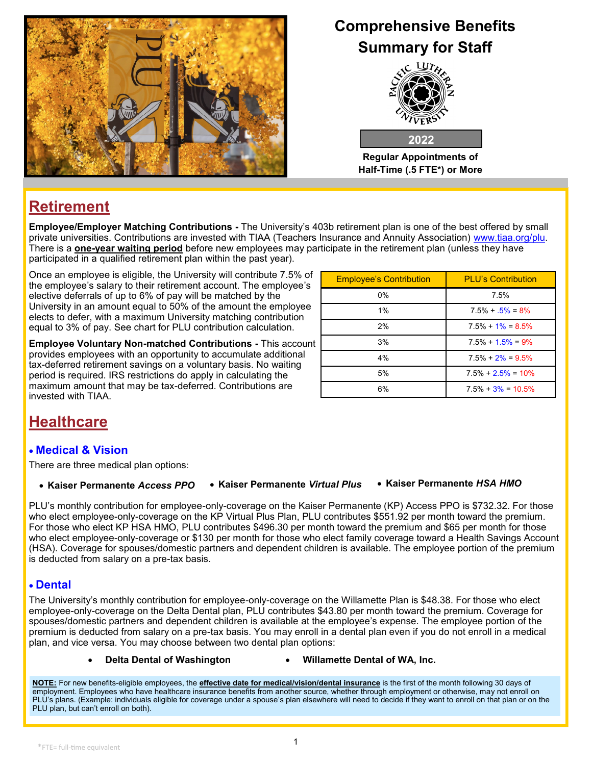

# **Comprehensive Benefits Summary for Staff**



**Regular Appointments of Half-Time (.5 FTE\*) or More**

# **Retirement**

**Employee/Employer Matching Contributions -** The University's 403b retirement plan is one of the best offered by small private universities. Contributions are invested with TIAA (Teachers Insurance and Annuity Association) www.tiaa.org/plu. There is a **one-year waiting period** before new employees may participate in the retirement plan (unless they have participated in a qualified retirement plan within the past year).

Once an employee is eligible, the University will contribute 7.5% of the employee's salary to their retirement account. The employee's elective deferrals of up to 6% of pay will be matched by the University in an amount equal to 50% of the amount the employee elects to defer, with a maximum University matching contribution equal to 3% of pay. See chart for PLU contribution calculation.

**Employee Voluntary Non-matched Contributions -** This account provides employees with an opportunity to accumulate additional tax-deferred retirement savings on a voluntary basis. No waiting period is required. IRS restrictions do apply in calculating the maximum amount that may be tax-deferred. Contributions are invested with TIAA.

| <b>Employee's Contribution</b> | <b>PLU's Contribution</b> |  |
|--------------------------------|---------------------------|--|
| $0\%$                          | 7.5%                      |  |
| 1%                             | $7.5\% + 5\% = 8\%$       |  |
| 2%                             | $7.5\% + 1\% = 8.5\%$     |  |
| 3%                             | $7.5\% + 1.5\% = 9\%$     |  |
| 4%                             | $7.5\% + 2\% = 9.5\%$     |  |
| 5%                             | $7.5\% + 2.5\% = 10\%$    |  |
| 6%                             | $7.5\% + 3\% = 10.5\%$    |  |

# **Healthcare**

### • **Medical & Vision**

There are three medical plan options:

#### • **Kaiser Permanente** *Access PPO* • **Kaiser Permanente** *Virtual Plus* • **Kaiser Permanente** *HSA HMO*

PLU's monthly contribution for employee-only-coverage on the Kaiser Permanente (KP) Access PPO is \$732.32. For those who elect employee-only-coverage on the KP Virtual Plus Plan, PLU contributes \$551.92 per month toward the premium. For those who elect KP HSA HMO, PLU contributes \$496.30 per month toward the premium and \$65 per month for those who elect employee-only-coverage or \$130 per month for those who elect family coverage toward a Health Savings Account (HSA). Coverage for spouses/domestic partners and dependent children is available. The employee portion of the premium is deducted from salary on a pre-tax basis.

#### • **Dental**

The University's monthly contribution for employee-only-coverage on the Willamette Plan is \$48.38. For those who elect employee-only-coverage on the Delta Dental plan, PLU contributes \$43.80 per month toward the premium. Coverage for spouses/domestic partners and dependent children is available at the employee's expense. The employee portion of the premium is deducted from salary on a pre-tax basis. You may enroll in a dental plan even if you do not enroll in a medical plan, and vice versa. You may choose between two dental plan options:

#### • **Delta Dental of Washington** • **Willamette Dental of WA, Inc.**

**NOTE:** For new benefits-eligible employees, the **effective date for medical/vision/dental insurance** is the first of the month following 30 days of employment. Employees who have healthcare insurance benefits from another source, whether through employment or otherwise, may not enroll on PLU's plans. (Example: individuals eligible for coverage under a spouse's plan elsewhere will need to decide if they want to enroll on that plan or on the PLU plan, but can't enroll on both).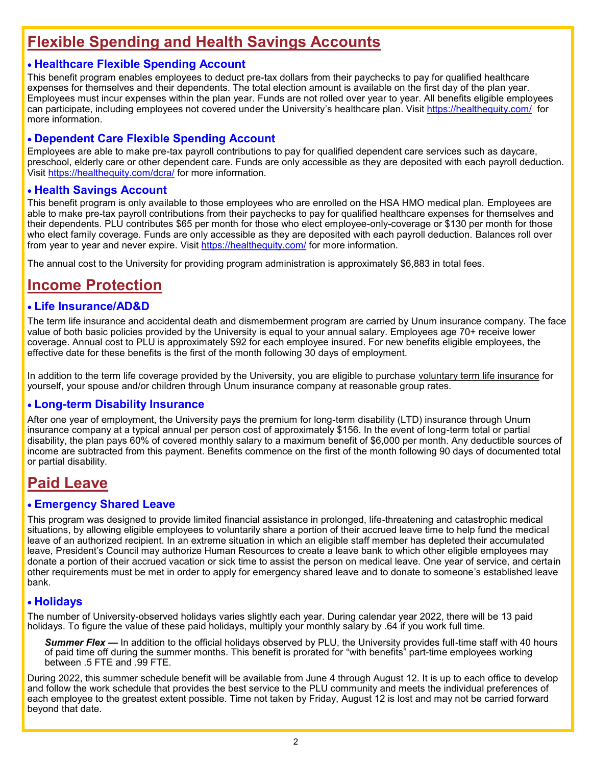## **Flexible Spending and Health Savings Accounts**

#### • **Healthcare Flexible Spending Account**

This benefit program enables employees to deduct pre-tax dollars from their paychecks to pay for qualified healthcare expenses for themselves and their dependents. The total election amount is available on the first day of the plan year. Employees must incur expenses within the plan year. Funds are not rolled over year to year. All benefits eligible employees can participate, including employees not covered under the University's healthcare plan. Visit <https://healthequity.com/> for more information.

#### • **Dependent Care Flexible Spending Account**

Employees are able to make pre-tax payroll contributions to pay for qualified dependent care services such as daycare, preschool, elderly care or other dependent care. Funds are only accessible as they are deposited with each payroll deduction. Visit <https://healthequity.com/dcra/> for more information.

#### • **Health Savings Account**

This benefit program is only available to those employees who are enrolled on the HSA HMO medical plan. Employees are able to make pre-tax payroll contributions from their paychecks to pay for qualified healthcare expenses for themselves and their dependents. PLU contributes \$65 per month for those who elect employee-only-coverage or \$130 per month for those who elect family coverage. Funds are only accessible as they are deposited with each payroll deduction. Balances roll over from year to year and never expire. Visit<https://healthequity.com/> for more information.

The annual cost to the University for providing program administration is approximately \$6,883 in total fees.

### **Income Protection**

#### • **Life Insurance/AD&D**

The term life insurance and accidental death and dismemberment program are carried by Unum insurance company. The face value of both basic policies provided by the University is equal to your annual salary. Employees age 70+ receive lower coverage. Annual cost to PLU is approximately \$92 for each employee insured. For new benefits eligible employees, the effective date for these benefits is the first of the month following 30 days of employment.

In addition to the term life coverage provided by the University, you are eligible to purchase voluntary term life insurance for yourself, your spouse and/or children through Unum insurance company at reasonable group rates.

#### • **Long-term Disability Insurance**

After one year of employment, the University pays the premium for long-term disability (LTD) insurance through Unum insurance company at a typical annual per person cost of approximately \$156. In the event of long-term total or partial disability, the plan pays 60% of covered monthly salary to a maximum benefit of \$6,000 per month. Any deductible sources of income are subtracted from this payment. Benefits commence on the first of the month following 90 days of documented total or partial disability.

### **Paid Leave**

#### • **Emergency Shared Leave**

This program was designed to provide limited financial assistance in prolonged, life-threatening and catastrophic medical situations, by allowing eligible employees to voluntarily share a portion of their accrued leave time to help fund the medical leave of an authorized recipient. In an extreme situation in which an eligible staff member has depleted their accumulated leave, President's Council may authorize Human Resources to create a leave bank to which other eligible employees may donate a portion of their accrued vacation or sick time to assist the person on medical leave. One year of service, and certain other requirements must be met in order to apply for emergency shared leave and to donate to someone's established leave bank.

#### • **Holidays**

The number of University-observed holidays varies slightly each year. During calendar year 2022, there will be 13 paid holidays. To figure the value of these paid holidays, multiply your monthly salary by .64 if you work full time.

**Summer Flex —** In addition to the official holidays observed by PLU, the University provides full-time staff with 40 hours of paid time off during the summer months. This benefit is prorated for "with benefits" part-time employees working between .5 FTE and .99 FTE.

During 2022, this summer schedule benefit will be available from June 4 through August 12. It is up to each office to develop and follow the work schedule that provides the best service to the PLU community and meets the individual preferences of each employee to the greatest extent possible. Time not taken by Friday, August 12 is lost and may not be carried forward beyond that date.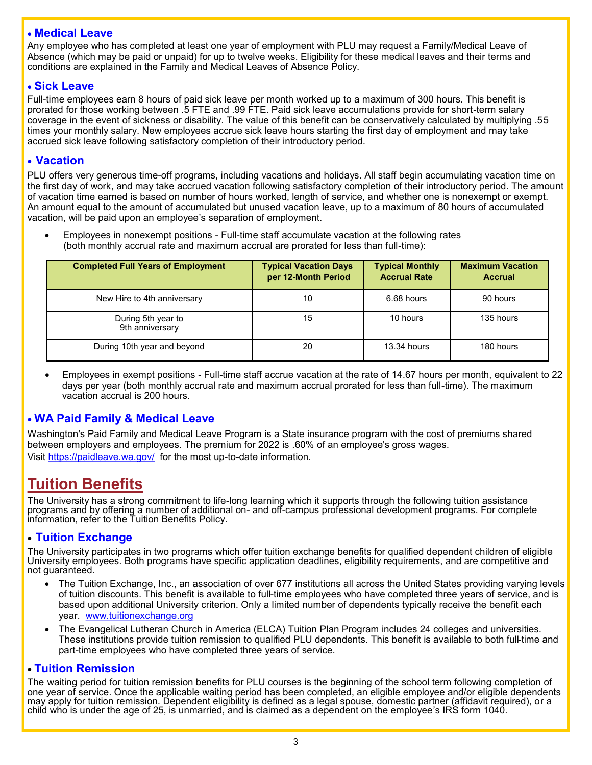#### • **Medical Leave**

Any employee who has completed at least one year of employment with PLU may request a Family/Medical Leave of Absence (which may be paid or unpaid) for up to twelve weeks. Eligibility for these medical leaves and their terms and conditions are explained in the Family and Medical Leaves of Absence Policy.

#### • **Sick Leave**

Full-time employees earn 8 hours of paid sick leave per month worked up to a maximum of 300 hours. This benefit is prorated for those working between .5 FTE and .99 FTE. Paid sick leave accumulations provide for short-term salary coverage in the event of sickness or disability. The value of this benefit can be conservatively calculated by multiplying .55 times your monthly salary. New employees accrue sick leave hours starting the first day of employment and may take accrued sick leave following satisfactory completion of their introductory period.

#### • **Vacation**

PLU offers very generous time-off programs, including vacations and holidays. All staff begin accumulating vacation time on the first day of work, and may take accrued vacation following satisfactory completion of their introductory period. The amount of vacation time earned is based on number of hours worked, length of service, and whether one is nonexempt or exempt. An amount equal to the amount of accumulated but unused vacation leave, up to a maximum of 80 hours of accumulated vacation, will be paid upon an employee's separation of employment.

• Employees in nonexempt positions - Full-time staff accumulate vacation at the following rates (both monthly accrual rate and maximum accrual are prorated for less than full-time):

| <b>Completed Full Years of Employment</b> | <b>Typical Vacation Days</b><br>per 12-Month Period | <b>Typical Monthly</b><br><b>Accrual Rate</b> | <b>Maximum Vacation</b><br><b>Accrual</b> |
|-------------------------------------------|-----------------------------------------------------|-----------------------------------------------|-------------------------------------------|
| New Hire to 4th anniversary               | 10                                                  | 6.68 hours                                    | 90 hours                                  |
| During 5th year to<br>9th anniversary     | 15                                                  | 10 hours                                      | 135 hours                                 |
| During 10th year and beyond               | 20                                                  | $13.34$ hours                                 | 180 hours                                 |

• Employees in exempt positions - Full-time staff accrue vacation at the rate of 14.67 hours per month, equivalent to 22 days per year (both monthly accrual rate and maximum accrual prorated for less than full-time). The maximum vacation accrual is 200 hours.

#### • **WA Paid Family & Medical Leave**

Washington's Paid Family and Medical Leave Program is a State insurance program with the cost of premiums shared between employers and employees. The premium for 2022 is .60% of an employee's gross wages. Visit <https://paidleave.wa.gov/>for the most up-to-date information.

### **Tuition Benefits**

The University has a strong commitment to life-long learning which it supports through the following tuition assistance programs and by offering a number of additional on- and off-campus professional development programs. For complete information, refer to the Tuition Benefits Policy.

#### • **Tuition Exchange**

The University participates in two programs which offer tuition exchange benefits for qualified dependent children of eligible University employees. Both programs have specific application deadlines, eligibility requirements, and are competitive and not guaranteed.

- The Tuition Exchange, Inc., an association of over 677 institutions all across the United States providing varying levels of tuition discounts. This benefit is available to full-time employees who have completed three years of service, and is based upon additional University criterion. Only a limited number of dependents typically receive the benefit each year. www.tuitionexchange.org
- The Evangelical Lutheran Church in America (ELCA) Tuition Plan Program includes 24 colleges and universities. These institutions provide tuition remission to qualified PLU dependents. This benefit is available to both full-time and part-time employees who have completed three years of service.

#### • **Tuition Remission**

The waiting period for tuition remission benefits for PLU courses is the beginning of the school term following completion of one year of service. Once the applicable waiting period has been completed, an eligible employee and/or eligible dependents may apply for tuition remission. Dependent eligibility is defined as a legal spouse, domestic partner (affidavit required), or a child who is under the age of 25, is unmarried, and is claimed as a dependent on the employee's IRS form 1040.